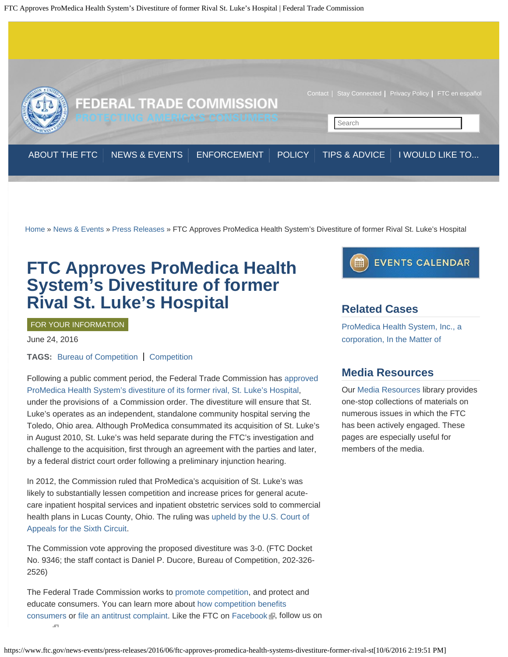FTC Approves ProMedica Health System's Divestiture of former Rival St. Luke's Hospital | Federal Trade Commission



[Home](https://www.ftc.gov/) » [News & Events](https://www.ftc.gov/news-events) » [Press Releases](https://www.ftc.gov/news-events/press-releases) » FTC Approves ProMedica Health System's Divestiture of former Rival St. Luke's Hospital

# **FTC Approves ProMedica Health System's Divestiture of former Rival St. Luke's Hospital**

## FOR YOUR INFORMATION

June 24, 2016

**TAGS:** [Bureau of Competition](https://www.ftc.gov/bureaus/bureau-competition) | [Competition](https://www.ftc.gov/mission/competition)

Following a public comment period, the Federal Trade Commission has [approved](https://www.ftc.gov/system/files/documents/cases/160624promedicacommltr.pdf) [ProMedica Health System's divestiture of its former rival, St. Luke's Hospital,](https://www.ftc.gov/system/files/documents/cases/160624promedicacommltr.pdf) under the provisions of a Commission order. The divestiture will ensure that St. Luke's operates as an independent, standalone community hospital serving the Toledo, Ohio area. Although ProMedica consummated its acquisition of St. Luke's in August 2010, St. Luke's was held separate during the FTC's investigation and challenge to the acquisition, first through an agreement with the parties and later, by a federal district court order following a preliminary injunction hearing.

In 2012, the Commission ruled that ProMedica's acquisition of St. Luke's was likely to substantially lessen competition and increase prices for general acutecare inpatient hospital services and inpatient obstetric services sold to commercial health plans in Lucas County, Ohio. The ruling was [upheld by the U.S. Court of](https://www.ftc.gov/news-events/press-releases/2014/04/federal-appeals-court-upholds-ftc-order-finding-ohio-hospital) [Appeals for the Sixth Circuit.](https://www.ftc.gov/news-events/press-releases/2014/04/federal-appeals-court-upholds-ftc-order-finding-ohio-hospital)

The Commission vote approving the proposed divestiture was 3-0. (FTC Docket No. 9346; the staff contact is Daniel P. Ducore, Bureau of Competition, 202-326- 2526)

The Federal Trade Commission works to [promote competition](https://www.ftc.gov/about-ftc/bureaus-offices/bureau-competition), and protect and educate consumers. You can learn more about [how competition benefits](https://www.ftc.gov/sites/default/files/attachments/competition-counts/zgen01.pdf) [consumers](https://www.ftc.gov/sites/default/files/attachments/competition-counts/zgen01.pdf) or [file an antitrust complaint](https://www.ftc.gov/faq/competition/report-antitrust-violation). Like the FTC on [Facebook](https://www.facebook.com/federaltradecommission) , follow us on .<br>Сп



## **Related Cases**

[ProMedica Health System, Inc., a](https://www.ftc.gov/enforcement/cases-proceedings/101-0167/promedica-health-system-inc-corporation-matter) [corporation, In the Matter of](https://www.ftc.gov/enforcement/cases-proceedings/101-0167/promedica-health-system-inc-corporation-matter)

## **Media Resources**

Our [Media Resources](https://www.ftc.gov/news-events/media-resources) library provides one-stop collections of materials on numerous issues in which the FTC has been actively engaged. These pages are especially useful for members of the media.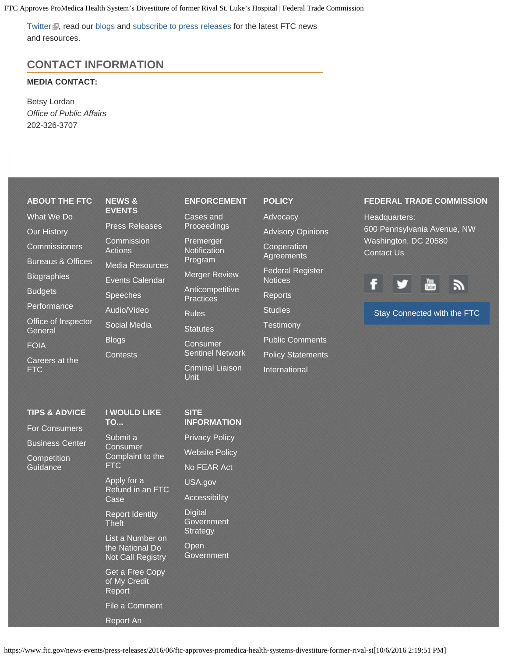FTC Approves ProMedica Health System's Divestiture of former Rival St. Luke's Hospital | Federal Trade Commission

[Twitter](https://twitter.com/FTC) , read our [blogs](https://www.ftc.gov/news-events/blogs/competition-matters) and [subscribe to press releases](https://www.ftc.gov/stay-connected) for the latest FTC news and resources.

## **CONTACT INFORMATION**

## **MEDIA CONTACT:**

Betsy Lordan *Office of Public Affairs* 202-326-3707

## **[ABOUT THE FTC](https://www.ftc.gov/about-ftc)** [What We Do](https://www.ftc.gov/about-ftc/what-we-do) [Our History](https://www.ftc.gov/about-ftc/our-history) **[Commissioners](https://www.ftc.gov/about-ftc/commissioners)** [Bureaus & Offices](https://www.ftc.gov/about-ftc/bureaus-offices) **[Biographies](https://www.ftc.gov/about-ftc/biographies) [Budgets](https://www.ftc.gov/about-ftc/budgets) [Performance](https://www.ftc.gov/about-ftc/performance)** [Office of Inspector](https://www.ftc.gov/about-ftc/office-inspector-general) **[General](https://www.ftc.gov/about-ftc/office-inspector-general) [NEWS &](https://www.ftc.gov/news-events) [EVENTS](https://www.ftc.gov/news-events)**

[FOIA](https://www.ftc.gov/about-ftc/foia) [Careers at the](https://www.ftc.gov/about-ftc/careers-ftc) [FTC](https://www.ftc.gov/about-ftc/careers-ftc)

**[TIPS & ADVICE](https://www.ftc.gov/tips-advice)** [For Consumers](http://consumer.ftc.gov/) [Business Center](https://www.ftc.gov/tips-advice/business-center)

**[Competition](https://www.ftc.gov/tips-advice/competition-guidance) [Guidance](https://www.ftc.gov/tips-advice/competition-guidance)** 

[Press Releases](https://www.ftc.gov/news-events/press-releases) **[Commission](https://www.ftc.gov/news-events/commission-actions)** [Actions](https://www.ftc.gov/news-events/commission-actions) [Media Resources](https://www.ftc.gov/news-events/media-resources) [Events Calendar](https://www.ftc.gov/news-events/events-calendar) **[Speeches](https://www.ftc.gov/news-events/speeches)** [Audio/Video](https://www.ftc.gov/news-events/audio-video) [Social Media](https://www.ftc.gov/news-events/social-media) [Blogs](https://www.ftc.gov/news-events/blogs) **[Contests](https://www.ftc.gov/news-events/contests)** 

## **[I WOULD LIKE](https://www.ftc.gov/faq)**

**[TO...](https://www.ftc.gov/faq)** [Submit a](https://www.ftc.gov/faq/consumer-protection/submit-consumer-complaint-ftc) **[Consumer](https://www.ftc.gov/faq/consumer-protection/submit-consumer-complaint-ftc)** [Complaint to the](https://www.ftc.gov/faq/consumer-protection/submit-consumer-complaint-ftc) [FTC](https://www.ftc.gov/faq/consumer-protection/submit-consumer-complaint-ftc)

[Apply for a](https://www.ftc.gov/faq/consumer-protection/apply-refund-ftc-case) [Refund in an FTC](https://www.ftc.gov/faq/consumer-protection/apply-refund-ftc-case) [Case](https://www.ftc.gov/faq/consumer-protection/apply-refund-ftc-case)

[Report Identity](https://www.ftc.gov/faq/consumer-protection/report-identity-theft) **[Theft](https://www.ftc.gov/faq/consumer-protection/report-identity-theft)** 

[List a Number on](https://www.ftc.gov/faq/consumer-protection/list-number-national-do-not-call-registry) [the National Do](https://www.ftc.gov/faq/consumer-protection/list-number-national-do-not-call-registry) [Not Call Registry](https://www.ftc.gov/faq/consumer-protection/list-number-national-do-not-call-registry)

[of My Credit](https://www.ftc.gov/faq/consumer-protection/get-my-free-credit-report) [Report](https://www.ftc.gov/faq/consumer-protection/get-my-free-credit-report)

[File a Comment](https://www.ftc.gov/faq/ftc-info/file-comment)

## [Report An](https://www.ftc.gov/faq/competition/report-antitrust-violation)

### **[ENFORCEMENT](https://www.ftc.gov/enforcement)**

[Cases and](https://www.ftc.gov/enforcement/cases-proceedings) [Proceedings](https://www.ftc.gov/enforcement/cases-proceedings)

[Premerger](https://www.ftc.gov/enforcement/premerger-notification-program) **[Notification](https://www.ftc.gov/enforcement/premerger-notification-program)** [Program](https://www.ftc.gov/enforcement/premerger-notification-program)

[Merger Review](https://www.ftc.gov/enforcement/merger-review)

[Anticompetitive](https://www.ftc.gov/enforcement/anticompetitive-practices) **[Practices](https://www.ftc.gov/enforcement/anticompetitive-practices)** 

[Rules](https://www.ftc.gov/enforcement/rules)

**[Statutes](https://www.ftc.gov/enforcement/statutes)** 

[Consumer](https://www.ftc.gov/enforcement/consumer-sentinel-network) [Sentinel Network](https://www.ftc.gov/enforcement/consumer-sentinel-network)

[Criminal Liaison](https://www.ftc.gov/enforcement/criminal-liaison-unit) [Unit](https://www.ftc.gov/enforcement/criminal-liaison-unit)

## **[POLICY](https://www.ftc.gov/policy)**

[Advocacy](https://www.ftc.gov/policy/advocacy)

[Advisory Opinions](https://www.ftc.gov/policy/advisory-opinions)

**[Cooperation](https://www.ftc.gov/policy/cooperation-agreements) [Agreements](https://www.ftc.gov/policy/cooperation-agreements)** 

[Federal Register](https://www.ftc.gov/policy/federal-register-notices) **[Notices](https://www.ftc.gov/policy/federal-register-notices)** 

[Reports](https://www.ftc.gov/policy/reports)

**[Studies](https://www.ftc.gov/policy/studies)** 

**[Testimony](https://www.ftc.gov/policy/testimony)** [Public Comments](https://www.ftc.gov/policy/public-comments)

[Policy Statements](https://www.ftc.gov/policy/policy-statements)

[International](https://www.ftc.gov/policy/international)

## **FEDERAL TRADE COMMISSION**

Headquarters: 600 Pennsylvania Avenue, NW Washington, DC 20580 [Contact Us](https://www.ftc.gov/contact)



#### [Stay Connected with the FTC](https://www.ftc.gov/stay-connected)

**[SITE](https://www.ftc.gov/site-information) [INFORMATION](https://www.ftc.gov/site-information)**

[Privacy Policy](https://www.ftc.gov/site-information/privacy-policy)

[Website Policy](https://www.ftc.gov/site-information/website-policy) [No FEAR Act](https://www.ftc.gov/site-information/no-fear-act) [USA.gov](http://usa.gov/) [Accessibility](https://www.ftc.gov/site-information/accessibility) **[Digital](https://www.ftc.gov/site-information/digital-government-strategy) [Government](https://www.ftc.gov/site-information/digital-government-strategy) [Strategy](https://www.ftc.gov/site-information/digital-government-strategy)** [Open](https://www.ftc.gov/site-information/open-government)

**[Government](https://www.ftc.gov/site-information/open-government)** 

[Get a Free Copy](https://www.ftc.gov/faq/consumer-protection/get-my-free-credit-report)